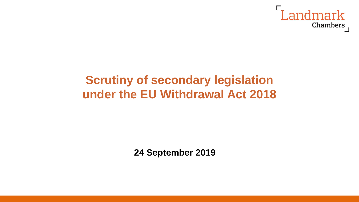

## **Scrutiny of secondary legislation under the EU Withdrawal Act 2018**

**24 September 2019**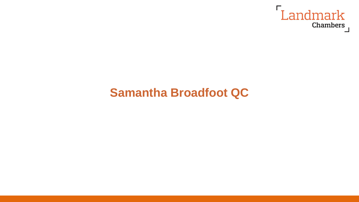

## **Samantha Broadfoot QC**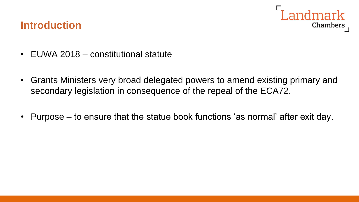# **Chambers**

#### **Introduction**

- EUWA 2018 constitutional statute
- Grants Ministers very broad delegated powers to amend existing primary and secondary legislation in consequence of the repeal of the ECA72.
- Purpose to ensure that the statue book functions 'as normal' after exit day.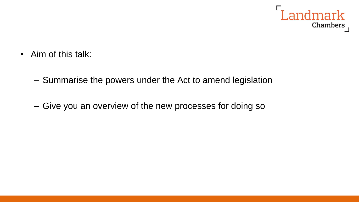

- Aim of this talk:
	- Summarise the powers under the Act to amend legislation
	- Give you an overview of the new processes for doing so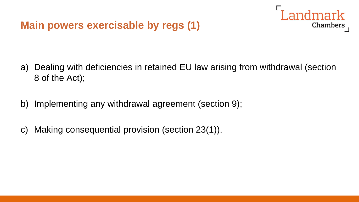#### **Main powers exercisable by regs (1)**

a) Dealing with deficiencies in retained EU law arising from withdrawal (section 8 of the Act);

Landmark

- b) Implementing any withdrawal agreement (section 9);
- c) Making consequential provision (section 23(1)).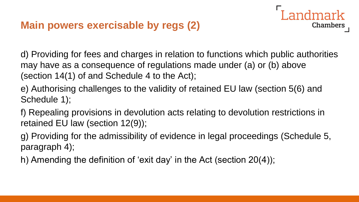#### **Main powers exercisable by regs (2)**

d) Providing for fees and charges in relation to functions which public authorities may have as a consequence of regulations made under (a) or (b) above (section 14(1) of and Schedule 4 to the Act);

Landmark

- e) Authorising challenges to the validity of retained EU law (section 5(6) and Schedule 1);
- f) Repealing provisions in devolution acts relating to devolution restrictions in retained EU law (section 12(9));
- g) Providing for the admissibility of evidence in legal proceedings (Schedule 5, paragraph 4);
- h) Amending the definition of 'exit day' in the Act (section 20(4));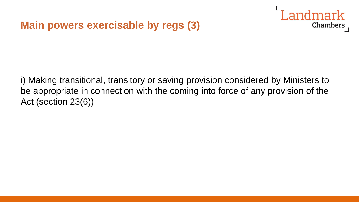#### **Main powers exercisable by regs (3)**



i) Making transitional, transitory or saving provision considered by Ministers to be appropriate in connection with the coming into force of any provision of the Act (section 23(6))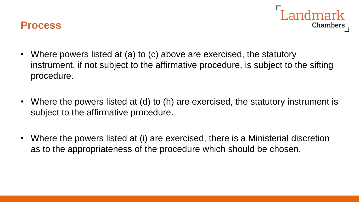



- Where powers listed at (a) to (c) above are exercised, the statutory instrument, if not subject to the affirmative procedure, is subject to the sifting procedure.
- Where the powers listed at (d) to (h) are exercised, the statutory instrument is subject to the affirmative procedure.
- Where the powers listed at (i) are exercised, there is a Ministerial discretion as to the appropriateness of the procedure which should be chosen.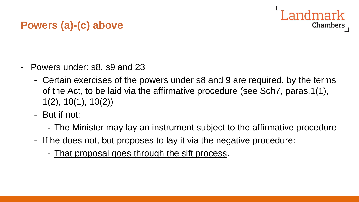#### **Powers (a)-(c) above**

- Powers under: s8, s9 and 23
	- Certain exercises of the powers under s8 and 9 are required, by the terms of the Act, to be laid via the affirmative procedure (see Sch7, paras.1(1), 1(2), 10(1), 10(2))
	- But if not:
		- The Minister may lay an instrument subject to the affirmative procedure
	- If he does not, but proposes to lay it via the negative procedure:
		- That proposal goes through the sift process.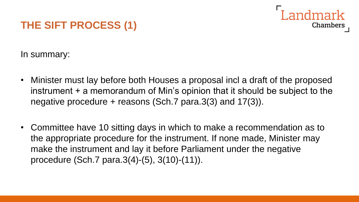## **THE SIFT PROCESS (1)**



In summary:

- Minister must lay before both Houses a proposal incl a draft of the proposed instrument + a memorandum of Min's opinion that it should be subject to the negative procedure + reasons (Sch.7 para.3(3) and 17(3)).
- Committee have 10 sitting days in which to make a recommendation as to the appropriate procedure for the instrument. If none made, Minister may make the instrument and lay it before Parliament under the negative procedure (Sch.7 para.3(4)-(5), 3(10)-(11)).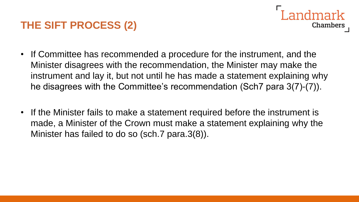## **THE SIFT PROCESS (2)**

- Chambers
- If Committee has recommended a procedure for the instrument, and the Minister disagrees with the recommendation, the Minister may make the instrument and lay it, but not until he has made a statement explaining why he disagrees with the Committee's recommendation (Sch7 para 3(7)-(7)).
- If the Minister fails to make a statement required before the instrument is made, a Minister of the Crown must make a statement explaining why the Minister has failed to do so (sch.7 para.3(8)).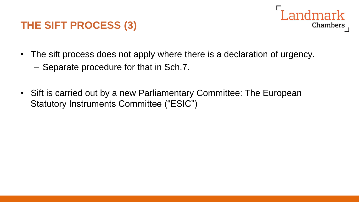#### **THE SIFT PROCESS (3)**



- The sift process does not apply where there is a declaration of urgency.
	- Separate procedure for that in Sch.7.
- Sift is carried out by a new Parliamentary Committee: The European Statutory Instruments Committee ("ESIC")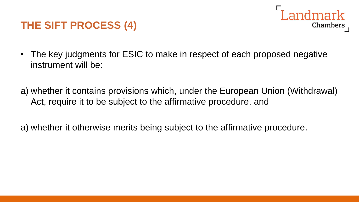#### **THE SIFT PROCESS (4)**



- The key judgments for ESIC to make in respect of each proposed negative instrument will be:
- a) whether it contains provisions which, under the European Union (Withdrawal) Act, require it to be subject to the affirmative procedure, and
- a) whether it otherwise merits being subject to the affirmative procedure.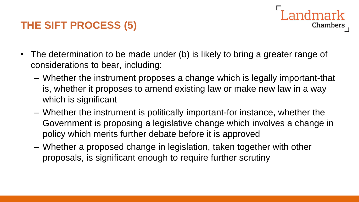## **THE SIFT PROCESS (5)**

- The determination to be made under (b) is likely to bring a greater range of considerations to bear, including:
	- Whether the instrument proposes a change which is legally important-that is, whether it proposes to amend existing law or make new law in a way which is significant

andmark

- Whether the instrument is politically important-for instance, whether the Government is proposing a legislative change which involves a change in policy which merits further debate before it is approved
- Whether a proposed change in legislation, taken together with other proposals, is significant enough to require further scrutiny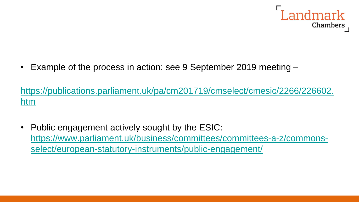

• Example of the process in action: see 9 September 2019 meeting –

[https://publications.parliament.uk/pa/cm201719/cmselect/cmesic/2266/226602.](https://publications.parliament.uk/pa/cm201719/cmselect/cmesic/2266/226602.htm) htm

• Public engagement actively sought by the ESIC: [https://www.parliament.uk/business/committees/committees-a-z/commons](https://www.parliament.uk/business/committees/committees-a-z/commons-select/european-statutory-instruments/public-engagement/)select/european-statutory-instruments/public-engagement/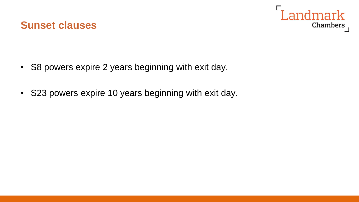



- S8 powers expire 2 years beginning with exit day.
- S23 powers expire 10 years beginning with exit day.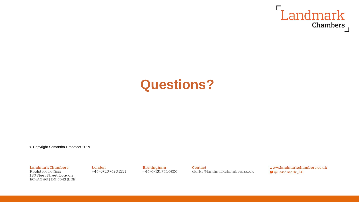

# **Questions?**

© Copyright Samantha Broadfoot 2019

**Landmark Chambers** Registered office: 180 Fleet Street, London EC4A 2HG | DX: 1042 (LDE) London  $+44(0)2074301221$  Birmingham  $+44(0)1217520800$  Contact clerks@landmarkchambers.co.uk www.landmarkchambers.co.uk **OLandmark LC**